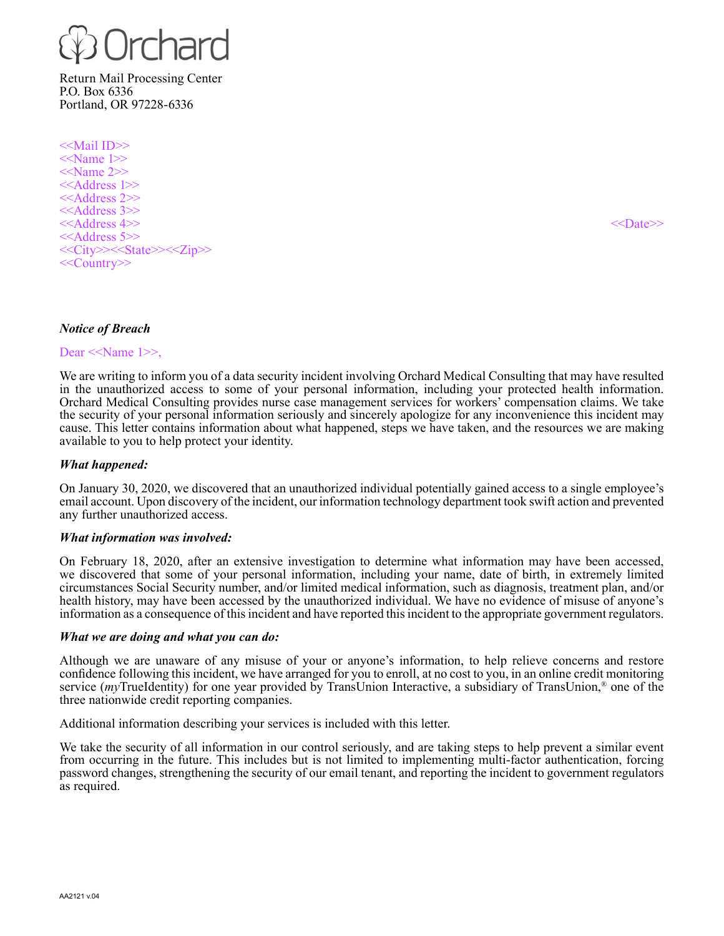

Return Mail Processing Center P.O. Box 6336 Portland, OR 97228-6336

<<Mail ID>>  $\le$ Name 1>> <<Name 2>> <<Address 1>> <<Address 2>> <<Address 3>><br>
<<Address 4>>  $<<$ Address 4>> $<<$ Date>> $<<$ Date>> $<<$ <<Address 5>> <<City>><<State>><<Zip>> <<Country>>

### *Notice of Breach*

Dear <<Name 1>>,

We are writing to inform you of a data security incident involving Orchard Medical Consulting that may have resulted in the unauthorized access to some of your personal information, including your protected health information. Orchard Medical Consulting provides nurse case management services for workers' compensation claims. We take the security of your personal information seriously and sincerely apologize for any inconvenience this incident may cause. This letter contains information about what happened, steps we have taken, and the resources we are making available to you to help protect your identity.

### *What happened:*

On January 30, 2020, we discovered that an unauthorized individual potentially gained access to a single employee's email account. Upon discovery of the incident, our information technology department took swift action and prevented any further unauthorized access.

### *What information was involved:*

On February 18, 2020, after an extensive investigation to determine what information may have been accessed, we discovered that some of your personal information, including your name, date of birth, in extremely limited circumstances Social Security number, and/or limited medical information, such as diagnosis, treatment plan, and/or health history, may have been accessed by the unauthorized individual. We have no evidence of misuse of anyone's information as a consequence of this incident and have reported this incident to the appropriate government regulators.

### *What we are doing and what you can do:*

Although we are unaware of any misuse of your or anyone's information, to help relieve concerns and restore confidence following this incident, we have arranged for you to enroll, at no cost to you, in an online credit monitoring service (*my*TrueIdentity) for one year provided by TransUnion Interactive, a subsidiary of TransUnion,® one of the three nationwide credit reporting companies.

Additional information describing your services is included with this letter.

We take the security of all information in our control seriously, and are taking steps to help prevent a similar event from occurring in the future. This includes but is not limited to implementing multi-factor authentication, forcing password changes, strengthening the security of our email tenant, and reporting the incident to government regulators as required.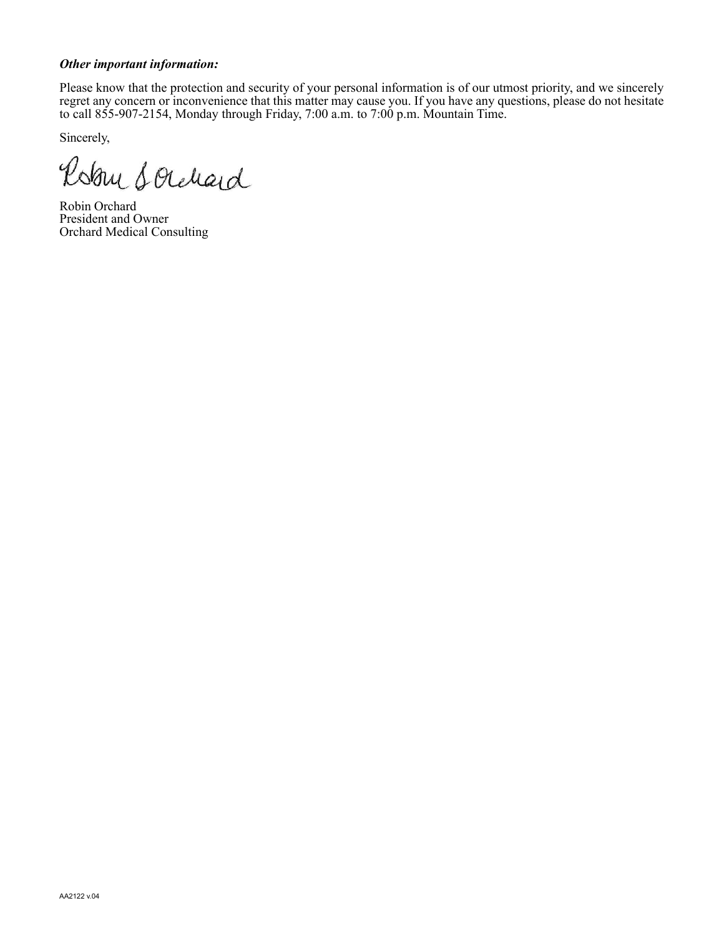## *Other important information:*

Please know that the protection and security of your personal information is of our utmost priority, and we sincerely regret any concern or inconvenience that this matter may cause you. If you have any questions, please do not hesitate to call 855-907-2154, Monday through Friday, 7:00 a.m. to 7:00 p.m. Mountain Time.

Sincerely,

Robin Sorchard

Robin Orchard President and Owner Orchard Medical Consulting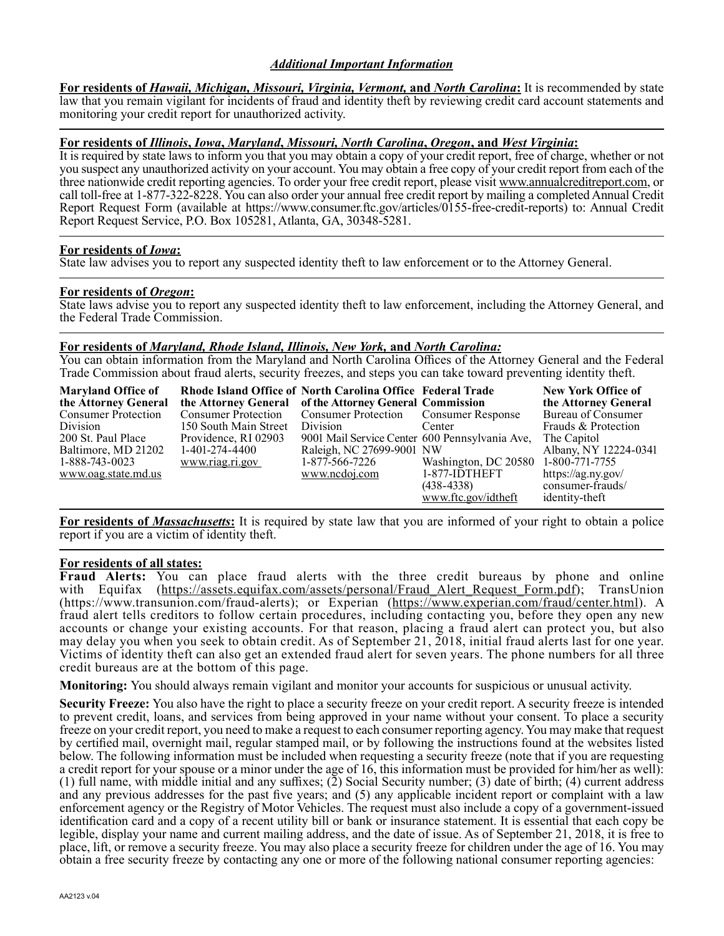## *Additional Important Information*

**For residents of** *Hawaii, Michigan, Missouri, Virginia, Vermont,* **and** *North Carolina***:** It is recommended by state law that you remain vigilant for incidents of fraud and identity theft by reviewing credit card account statements and monitoring your credit report for unauthorized activity.

## **For residents of** *Illinois***,** *Iowa***,** *Maryland***,** *Missouri, North Carolina***,** *Oregon***, and** *West Virginia***:**

It is required by state laws to inform you that you may obtain a copy of your credit report, free of charge, whether or not you suspect any unauthorized activity on your account. You may obtain a free copy of your credit report from each of the three nationwide credit reporting agencies. To order your free credit report, please visit www.annualcreditreport.com, or call toll-free at 1-877-322-8228. You can also order your annual free credit report by mailing a completed Annual Credit Report Request Form (available at https://www.consumer.ftc.gov/articles/0155-free-credit-reports) to: Annual Credit Report Request Service, P.O. Box 105281, Atlanta, GA, 30348-5281.

### **For residents of** *Iowa***:**

State law advises you to report any suspected identity theft to law enforcement or to the Attorney General.

#### **For residents of** *Oregon***:**

State laws advise you to report any suspected identity theft to law enforcement, including the Attorney General, and the Federal Trade Commission.

#### **For residents of** *Maryland, Rhode Island, Illinois, New York,* **and** *North Carolina:*

You can obtain information from the Maryland and North Carolina Offices of the Attorney General and the Federal Trade Commission about fraud alerts, security freezes, and steps you can take toward preventing identity theft.

| <b>Maryland Office of</b>  | Rhode Island Office of North Carolina Office Federal Trade |                                                |                                     | <b>New York Office of</b> |
|----------------------------|------------------------------------------------------------|------------------------------------------------|-------------------------------------|---------------------------|
| the Attorney General       | the Attorney General of the Attorney General Commission    |                                                |                                     | the Attorney General      |
| <b>Consumer Protection</b> | Consumer Protection Consumer Protection Consumer Response  |                                                |                                     | Bureau of Consumer        |
| Division                   | 150 South Main Street Division                             |                                                | Center                              | Frauds & Protection       |
| 200 St. Paul Place         | Providence, RI 02903                                       | 9001 Mail Service Center 600 Pennsylvania Ave, |                                     | The Capitol               |
| Baltimore, MD 21202        | 1-401-274-4400                                             | Raleigh, NC 27699-9001 NW                      |                                     | Albany, NY 12224-0341     |
| 1-888-743-0023             | www.riag.ri.gov                                            | 1-877-566-7226                                 | Washington, DC 20580 1-800-771-7755 |                           |
| www.oag.state.md.us        |                                                            | www.ncdoj.com                                  | $1-877$ -IDTHEFT                    | https://ag.ny.gov/        |
|                            |                                                            |                                                | $(438-4338)$                        | consumer-frauds/          |
|                            |                                                            |                                                | www.ftc.gov/idtheft                 | identity-theft            |

**For residents of** *Massachusetts***:** It is required by state law that you are informed of your right to obtain a police report if you are a victim of identity theft.

### **For residents of all states:**

**Fraud Alerts:** You can place fraud alerts with the three credit bureaus by phone and online with Equifax (https://assets.equifax.com/assets/personal/Fraud Alert Request Form.pdf); TransUnion with Equifax (https://assets.equifax.com/assets/personal/Fraud Alert Request Form.pdf); (https://www.transunion.com/fraud-alerts); or Experian (https://www.experian.com/fraud/center.html). A fraud alert tells creditors to follow certain procedures, including contacting you, before they open any new accounts or change your existing accounts. For that reason, placing a fraud alert can protect you, but also may delay you when you seek to obtain credit. As of September 21, 2018, initial fraud alerts last for one year. Victims of identity theft can also get an extended fraud alert for seven years. The phone numbers for all three credit bureaus are at the bottom of this page.

**Monitoring:** You should always remain vigilant and monitor your accounts for suspicious or unusual activity.

**Security Freeze:** You also have the right to place a security freeze on your credit report. A security freeze is intended to prevent credit, loans, and services from being approved in your name without your consent. To place a security freeze on your credit report, you need to make a request to each consumer reporting agency. You may make that request by certified mail, overnight mail, regular stamped mail, or by following the instructions found at the websites listed below. The following information must be included when requesting a security freeze (note that if you are requesting a credit report for your spouse or a minor under the age of 16, this information must be provided for him/her as well): (1) full name, with middle initial and any suffixes; (2) Social Security number; (3) date of birth; (4) current address and any previous addresses for the past five years; and (5) any applicable incident report or complaint with a law enforcement agency or the Registry of Motor Vehicles. The request must also include a copy of a government-issued identification card and a copy of a recent utility bill or bank or insurance statement. It is essential that each copy be legible, display your name and current mailing address, and the date of issue. As of September 21, 2018, it is free to place, lift, or remove a security freeze. You may also place a security freeze for children under the age of 16. You may obtain a free security freeze by contacting any one or more of the following national consumer reporting agencies: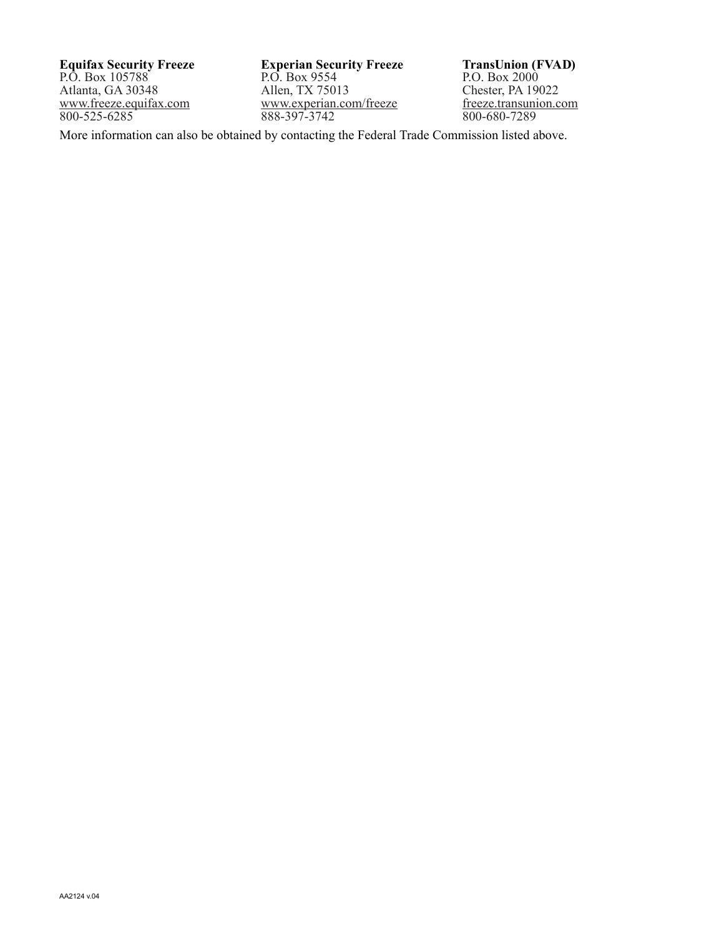**Equifax Security Freeze** P.O. Box 105788 Atlanta, GA 30348 www.freeze.equifax.com 800-525-6285

**Experian Security Freeze** P.O. Box 9554 Allen, TX 75013 www.experian.com/freeze 888-397-3742

**TransUnion (FVAD)** P.O. Box 2000 Chester, PA 19022 freeze.transunion.com 800-680-7289

More information can also be obtained by contacting the Federal Trade Commission listed above.